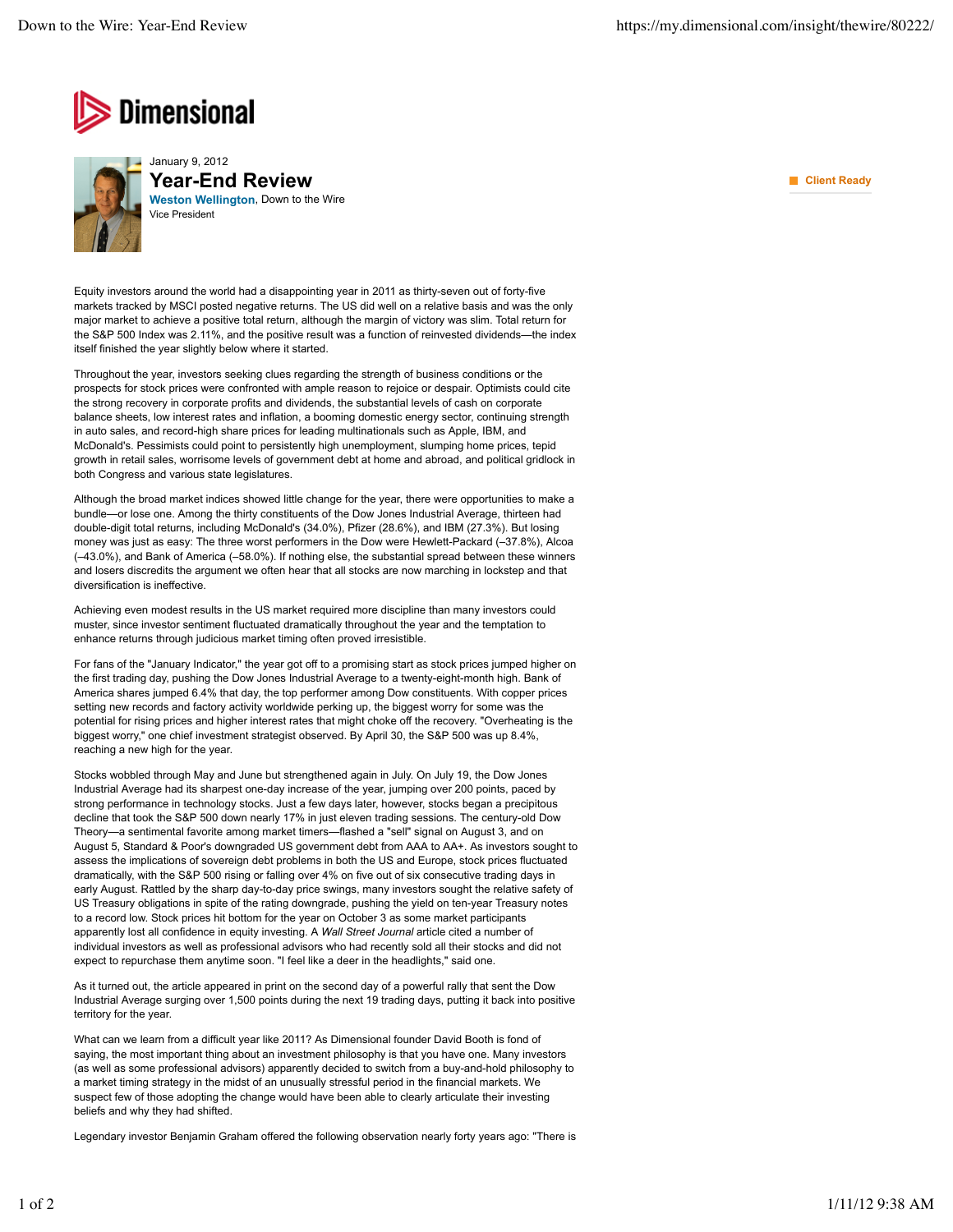



**Weston Wellington**, Down to the Wire January 9, 2012 **Year-End Review** Vice President

Equity investors around the world had a disappointing year in 2011 as thirty-seven out of forty-five markets tracked by MSCI posted negative returns. The US did well on a relative basis and was the only major market to achieve a positive total return, although the margin of victory was slim. Total return for the S&P 500 Index was 2.11%, and the positive result was a function of reinvested dividends—the index itself finished the year slightly below where it started.

Throughout the year, investors seeking clues regarding the strength of business conditions or the prospects for stock prices were confronted with ample reason to rejoice or despair. Optimists could cite the strong recovery in corporate profits and dividends, the substantial levels of cash on corporate balance sheets, low interest rates and inflation, a booming domestic energy sector, continuing strength in auto sales, and record-high share prices for leading multinationals such as Apple, IBM, and McDonald's. Pessimists could point to persistently high unemployment, slumping home prices, tepid growth in retail sales, worrisome levels of government debt at home and abroad, and political gridlock in both Congress and various state legislatures.

Although the broad market indices showed little change for the year, there were opportunities to make a bundle—or lose one. Among the thirty constituents of the Dow Jones Industrial Average, thirteen had double-digit total returns, including McDonald's (34.0%), Pfizer (28.6%), and IBM (27.3%). But losing money was just as easy: The three worst performers in the Dow were Hewlett-Packard (–37.8%), Alcoa (–43.0%), and Bank of America (–58.0%). If nothing else, the substantial spread between these winners and losers discredits the argument we often hear that all stocks are now marching in lockstep and that diversification is ineffective.

Achieving even modest results in the US market required more discipline than many investors could muster, since investor sentiment fluctuated dramatically throughout the year and the temptation to enhance returns through judicious market timing often proved irresistible.

For fans of the "January Indicator," the year got off to a promising start as stock prices jumped higher on the first trading day, pushing the Dow Jones Industrial Average to a twenty-eight-month high. Bank of America shares jumped 6.4% that day, the top performer among Dow constituents. With copper prices setting new records and factory activity worldwide perking up, the biggest worry for some was the potential for rising prices and higher interest rates that might choke off the recovery. "Overheating is the biggest worry," one chief investment strategist observed. By April 30, the S&P 500 was up 8.4%, reaching a new high for the year.

Stocks wobbled through May and June but strengthened again in July. On July 19, the Dow Jones Industrial Average had its sharpest one-day increase of the year, jumping over 200 points, paced by strong performance in technology stocks. Just a few days later, however, stocks began a precipitous decline that took the S&P 500 down nearly 17% in just eleven trading sessions. The century-old Dow Theory—a sentimental favorite among market timers—flashed a "sell" signal on August 3, and on August 5, Standard & Poor's downgraded US government debt from AAA to AA+. As investors sought to assess the implications of sovereign debt problems in both the US and Europe, stock prices fluctuated dramatically, with the S&P 500 rising or falling over 4% on five out of six consecutive trading days in early August. Rattled by the sharp day-to-day price swings, many investors sought the relative safety of US Treasury obligations in spite of the rating downgrade, pushing the yield on ten-year Treasury notes to a record low. Stock prices hit bottom for the year on October 3 as some market participants apparently lost all confidence in equity investing. A *Wall Street Journal* article cited a number of individual investors as well as professional advisors who had recently sold all their stocks and did not expect to repurchase them anytime soon. "I feel like a deer in the headlights," said one.

As it turned out, the article appeared in print on the second day of a powerful rally that sent the Dow Industrial Average surging over 1,500 points during the next 19 trading days, putting it back into positive territory for the year.

What can we learn from a difficult year like 2011? As Dimensional founder David Booth is fond of saying, the most important thing about an investment philosophy is that you have one. Many investors (as well as some professional advisors) apparently decided to switch from a buy-and-hold philosophy to a market timing strategy in the midst of an unusually stressful period in the financial markets. We suspect few of those adopting the change would have been able to clearly articulate their investing beliefs and why they had shifted.

Legendary investor Benjamin Graham offered the following observation nearly forty years ago: "There is

**Client Ready**